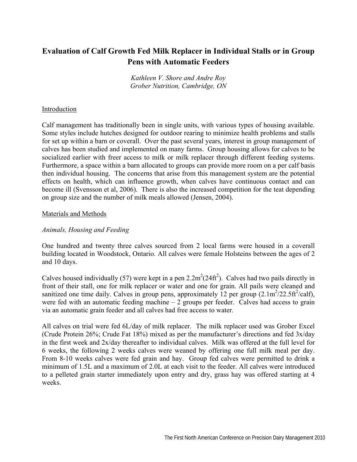# **Evaluation of Calf Growth Fed Milk Replacer in Individual Stalls or in Group Pens with Automatic Feeders**

*Kathleen V. Shore and Andre Roy Grober Nutrition, Cambridge, ON* 

# Introduction

Calf management has traditionally been in single units, with various types of housing available. Some styles include hutches designed for outdoor rearing to minimize health problems and stalls for set up within a barn or coverall. Over the past several years, interest in group management of calves has been studied and implemented on many farms. Group housing allows for calves to be socialized earlier with freer access to milk or milk replacer through different feeding systems. Furthermore, a space within a barn allocated to groups can provide more room on a per calf basis then individual housing. The concerns that arise from this management system are the potential effects on health, which can influence growth, when calves have continuous contact and can become ill (Svensson et al, 2006). There is also the increased competition for the teat depending on group size and the number of milk meals allowed (Jensen, 2004).

#### Materials and Methods

### *Animals, Housing and Feeding*

One hundred and twenty three calves sourced from 2 local farms were housed in a coverall building located in Woodstock, Ontario. All calves were female Holsteins between the ages of 2 and 10 days.

Calves housed individually (57) were kept in a pen  $2.2m^2(24ft^2)$ . Calves had two pails directly in front of their stall, one for milk replacer or water and one for grain. All pails were cleaned and sanitized one time daily. Calves in group pens, approximately 12 per group  $(2.1 \text{m}^2/22.5 \text{ft}^2/\text{calf})$ , were fed with an automatic feeding machine  $-2$  groups per feeder. Calves had access to grain via an automatic grain feeder and all calves had free access to water.

All calves on trial were fed 6L/day of milk replacer. The milk replacer used was Grober Excel (Crude Protein 26%; Crude Fat 18%) mixed as per the manufacturer's directions and fed 3x/day in the first week and 2x/day thereafter to individual calves. Milk was offered at the full level for 6 weeks, the following 2 weeks calves were weaned by offering one full milk meal per day. From 8-10 weeks calves were fed grain and hay. Group fed calves were permitted to drink a minimum of 1.5L and a maximum of 2.0L at each visit to the feeder. All calves were introduced to a pelleted grain starter immediately upon entry and dry, grass hay was offered starting at 4 weeks.